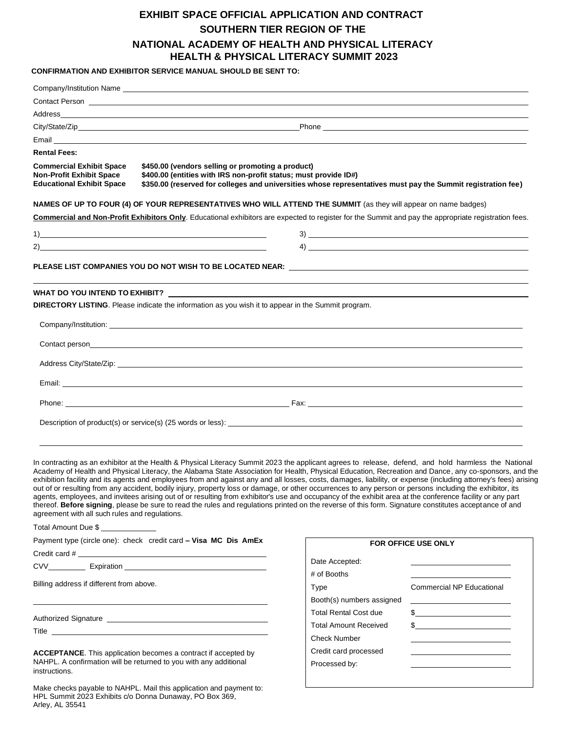## **EXHIBIT SPACE OFFICIAL APPLICATION AND CONTRACT SOUTHERN TIER REGION OF THE NATIONAL ACADEMY OF HEALTH AND PHYSICAL LITERACY HEALTH & PHYSICAL LITERACY SUMMIT 2023**

**CONFIRMATION AND EXHIBITOR SERVICE MANUAL SHOULD BE SENT TO:**

|                                                                                                        | Company/Institution Name Learning Company of the Company of the Company of the Company of the Company of the Company of the Company of the Company of the Company of the Company of the Company of the Company of the Company                                                                                                                                                                                                                                                                                                                                                                                                                                                                                                                                                                                                                                                                                                                                        |                              |                                                   |
|--------------------------------------------------------------------------------------------------------|----------------------------------------------------------------------------------------------------------------------------------------------------------------------------------------------------------------------------------------------------------------------------------------------------------------------------------------------------------------------------------------------------------------------------------------------------------------------------------------------------------------------------------------------------------------------------------------------------------------------------------------------------------------------------------------------------------------------------------------------------------------------------------------------------------------------------------------------------------------------------------------------------------------------------------------------------------------------|------------------------------|---------------------------------------------------|
|                                                                                                        | Contact Person <b>contact of the contact of the contact of the contact of the contact of the contact of the contact of the contact of the contact of the contact of the contact of the contact of the contact of the contact of </b>                                                                                                                                                                                                                                                                                                                                                                                                                                                                                                                                                                                                                                                                                                                                 |                              |                                                   |
|                                                                                                        |                                                                                                                                                                                                                                                                                                                                                                                                                                                                                                                                                                                                                                                                                                                                                                                                                                                                                                                                                                      |                              |                                                   |
|                                                                                                        |                                                                                                                                                                                                                                                                                                                                                                                                                                                                                                                                                                                                                                                                                                                                                                                                                                                                                                                                                                      |                              |                                                   |
|                                                                                                        | Email <b>Exercía de la contrada de la contrada de la contrada de la contrada de la contrada de la contrada de la</b>                                                                                                                                                                                                                                                                                                                                                                                                                                                                                                                                                                                                                                                                                                                                                                                                                                                 |                              |                                                   |
| <b>Rental Fees:</b>                                                                                    |                                                                                                                                                                                                                                                                                                                                                                                                                                                                                                                                                                                                                                                                                                                                                                                                                                                                                                                                                                      |                              |                                                   |
| <b>Commercial Exhibit Space</b><br><b>Non-Profit Exhibit Space</b><br><b>Educational Exhibit Space</b> | \$450.00 (vendors selling or promoting a product)<br>\$400.00 (entities with IRS non-profit status; must provide ID#)<br>\$350.00 (reserved for colleges and universities whose representatives must pay the Summit registration fee)                                                                                                                                                                                                                                                                                                                                                                                                                                                                                                                                                                                                                                                                                                                                |                              |                                                   |
|                                                                                                        | NAMES OF UP TO FOUR (4) OF YOUR REPRESENTATIVES WHO WILL ATTEND THE SUMMIT (as they will appear on name badges)                                                                                                                                                                                                                                                                                                                                                                                                                                                                                                                                                                                                                                                                                                                                                                                                                                                      |                              |                                                   |
|                                                                                                        | Commercial and Non-Profit Exhibitors Only. Educational exhibitors are expected to register for the Summit and pay the appropriate registration fees.                                                                                                                                                                                                                                                                                                                                                                                                                                                                                                                                                                                                                                                                                                                                                                                                                 |                              |                                                   |
|                                                                                                        |                                                                                                                                                                                                                                                                                                                                                                                                                                                                                                                                                                                                                                                                                                                                                                                                                                                                                                                                                                      |                              | $3)$ $\overline{\phantom{a}}$                     |
|                                                                                                        |                                                                                                                                                                                                                                                                                                                                                                                                                                                                                                                                                                                                                                                                                                                                                                                                                                                                                                                                                                      |                              | $\left(4\right)$ $\overline{\phantom{a}}$         |
|                                                                                                        |                                                                                                                                                                                                                                                                                                                                                                                                                                                                                                                                                                                                                                                                                                                                                                                                                                                                                                                                                                      |                              |                                                   |
|                                                                                                        | PLEASE LIST COMPANIES YOU DO NOT WISH TO BE LOCATED NEAR: Network that the control of the control of the contr                                                                                                                                                                                                                                                                                                                                                                                                                                                                                                                                                                                                                                                                                                                                                                                                                                                       |                              |                                                   |
|                                                                                                        |                                                                                                                                                                                                                                                                                                                                                                                                                                                                                                                                                                                                                                                                                                                                                                                                                                                                                                                                                                      |                              |                                                   |
|                                                                                                        | DIRECTORY LISTING. Please indicate the information as you wish it to appear in the Summit program.                                                                                                                                                                                                                                                                                                                                                                                                                                                                                                                                                                                                                                                                                                                                                                                                                                                                   |                              |                                                   |
|                                                                                                        |                                                                                                                                                                                                                                                                                                                                                                                                                                                                                                                                                                                                                                                                                                                                                                                                                                                                                                                                                                      |                              |                                                   |
|                                                                                                        |                                                                                                                                                                                                                                                                                                                                                                                                                                                                                                                                                                                                                                                                                                                                                                                                                                                                                                                                                                      |                              |                                                   |
|                                                                                                        | Address City/State/Zip: 2008. 2009. 2009. 2009. 2012. 2013. 2014. 2015. 2016. 2017. 2018. 2019. 2016. 2017. 20                                                                                                                                                                                                                                                                                                                                                                                                                                                                                                                                                                                                                                                                                                                                                                                                                                                       |                              |                                                   |
|                                                                                                        |                                                                                                                                                                                                                                                                                                                                                                                                                                                                                                                                                                                                                                                                                                                                                                                                                                                                                                                                                                      |                              |                                                   |
|                                                                                                        |                                                                                                                                                                                                                                                                                                                                                                                                                                                                                                                                                                                                                                                                                                                                                                                                                                                                                                                                                                      |                              |                                                   |
|                                                                                                        |                                                                                                                                                                                                                                                                                                                                                                                                                                                                                                                                                                                                                                                                                                                                                                                                                                                                                                                                                                      |                              |                                                   |
|                                                                                                        |                                                                                                                                                                                                                                                                                                                                                                                                                                                                                                                                                                                                                                                                                                                                                                                                                                                                                                                                                                      |                              |                                                   |
|                                                                                                        |                                                                                                                                                                                                                                                                                                                                                                                                                                                                                                                                                                                                                                                                                                                                                                                                                                                                                                                                                                      |                              |                                                   |
| agreement with all such rules and regulations.<br>Total Amount Due \$                                  | In contracting as an exhibitor at the Health & Physical Literacy Summit 2023 the applicant agrees to release, defend, and hold harmless the National<br>Academy of Health and Physical Literacy, the Alabama State Association for Health, Physical Education, Recreation and Dance, any co-sponsors, and the<br>exhibition facility and its agents and employees from and against any and all losses, costs, damages, liability, or expense (including attorney's fees) arising<br>out of or resulting from any accident, bodily injury, property loss or damage, or other occurrences to any person or persons including the exhibitor, its<br>agents, employees, and invitees arising out of or resulting from exhibitor's use and occupancy of the exhibit area at the conference facility or any part<br>thereof. Before signing, please be sure to read the rules and regulations printed on the reverse of this form. Signature constitutes acceptance of and |                              |                                                   |
|                                                                                                        | Payment type (circle one): check credit card - Visa MC Dis AmEx                                                                                                                                                                                                                                                                                                                                                                                                                                                                                                                                                                                                                                                                                                                                                                                                                                                                                                      | FOR OFFICE USE ONLY          |                                                   |
|                                                                                                        |                                                                                                                                                                                                                                                                                                                                                                                                                                                                                                                                                                                                                                                                                                                                                                                                                                                                                                                                                                      |                              |                                                   |
|                                                                                                        | CVV Expiration Expiration CVV                                                                                                                                                                                                                                                                                                                                                                                                                                                                                                                                                                                                                                                                                                                                                                                                                                                                                                                                        | Date Accepted:               |                                                   |
| Billing address if different from above.                                                               |                                                                                                                                                                                                                                                                                                                                                                                                                                                                                                                                                                                                                                                                                                                                                                                                                                                                                                                                                                      | # of Booths                  |                                                   |
|                                                                                                        |                                                                                                                                                                                                                                                                                                                                                                                                                                                                                                                                                                                                                                                                                                                                                                                                                                                                                                                                                                      | Type                         | Commercial NP Educational                         |
|                                                                                                        |                                                                                                                                                                                                                                                                                                                                                                                                                                                                                                                                                                                                                                                                                                                                                                                                                                                                                                                                                                      | Booth(s) numbers assigned    |                                                   |
|                                                                                                        | Authorized Signature <b>contained a manufacture of the series and all the series of the series and all the series</b>                                                                                                                                                                                                                                                                                                                                                                                                                                                                                                                                                                                                                                                                                                                                                                                                                                                | <b>Total Rental Cost due</b> | $\frac{1}{2}$                                     |
| Title <u>the contract of the contract of the contract of the contract of the contract of</u>           |                                                                                                                                                                                                                                                                                                                                                                                                                                                                                                                                                                                                                                                                                                                                                                                                                                                                                                                                                                      | <b>Total Amount Received</b> | $\frac{1}{2}$                                     |
|                                                                                                        |                                                                                                                                                                                                                                                                                                                                                                                                                                                                                                                                                                                                                                                                                                                                                                                                                                                                                                                                                                      | <b>Check Number</b>          | <u> 1989 - Johann Barn, mars et al. (b. 1989)</u> |
| <b>ACCEPTANCE.</b> This application becomes a contract if accepted by                                  |                                                                                                                                                                                                                                                                                                                                                                                                                                                                                                                                                                                                                                                                                                                                                                                                                                                                                                                                                                      | Credit card processed        |                                                   |
| NAHPL. A confirmation will be returned to you with any additional<br>instructions.                     |                                                                                                                                                                                                                                                                                                                                                                                                                                                                                                                                                                                                                                                                                                                                                                                                                                                                                                                                                                      | Processed by:                | <u> 1980 - Johann Barbara, martin amerikan ba</u> |

Make checks payable to NAHPL. Mail this application and payment to: HPL Summit 2023 Exhibits c/o Donna Dunaway, PO Box 369, Arley, AL 35541